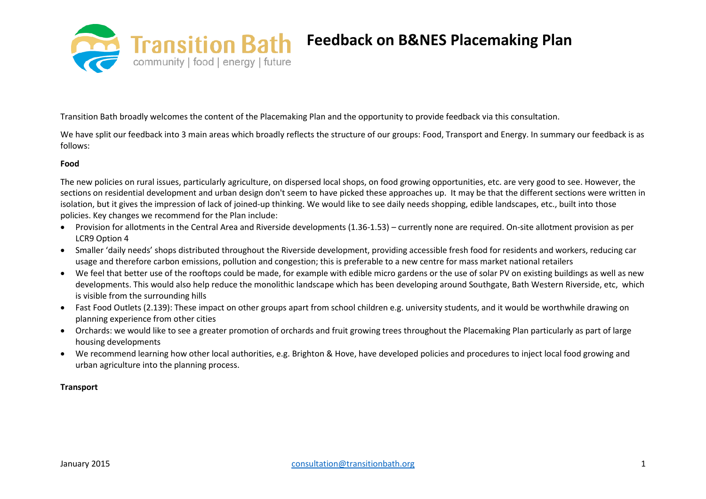

Transition Bath broadly welcomes the content of the Placemaking Plan and the opportunity to provide feedback via this consultation.

We have split our feedback into 3 main areas which broadly reflects the structure of our groups: Food, Transport and Energy. In summary our feedback is as follows:

# **Food**

The new policies on rural issues, particularly agriculture, on dispersed local shops, on food growing opportunities, etc. are very good to see. However, the sections on residential development and urban design don't seem to have picked these approaches up. It may be that the different sections were written in isolation, but it gives the impression of lack of joined-up thinking. We would like to see daily needs shopping, edible landscapes, etc., built into those policies. Key changes we recommend for the Plan include:

- Provision for allotments in the Central Area and Riverside developments (1.36-1.53) currently none are required. On-site allotment provision as per LCR9 Option 4
- Smaller 'daily needs' shops distributed throughout the Riverside development, providing accessible fresh food for residents and workers, reducing car usage and therefore carbon emissions, pollution and congestion; this is preferable to a new centre for mass market national retailers
- We feel that better use of the rooftops could be made, for example with edible micro gardens or the use of solar PV on existing buildings as well as new developments. This would also help reduce the monolithic landscape which has been developing around Southgate, Bath Western Riverside, etc, which is visible from the surrounding hills
- Fast Food Outlets (2.139): These impact on other groups apart from school children e.g. university students, and it would be worthwhile drawing on planning experience from other cities
- Orchards: we would like to see a greater promotion of orchards and fruit growing trees throughout the Placemaking Plan particularly as part of large housing developments
- We recommend learning how other local authorities, e.g. Brighton & Hove, have developed policies and procedures to inject local food growing and urban agriculture into the planning process.

### **Transport**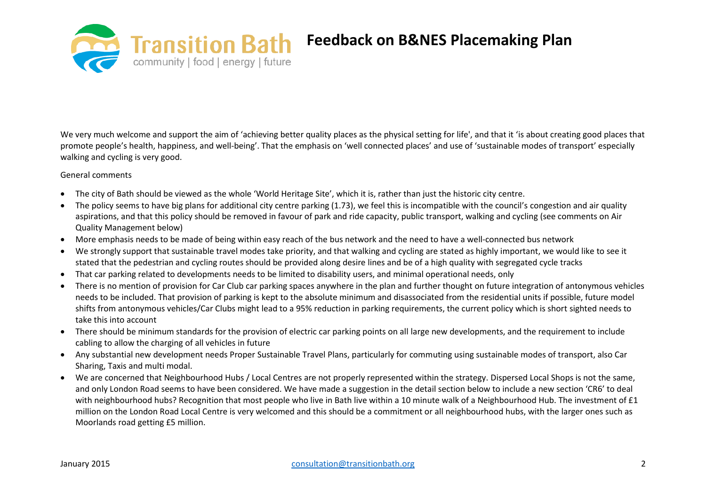

We very much welcome and support the aim of 'achieving better quality places as the physical setting for life', and that it 'is about creating good places that promote people's health, happiness, and well-being'. That the emphasis on 'well connected places' and use of 'sustainable modes of transport' especially walking and cycling is very good.

General comments

- The city of Bath should be viewed as the whole 'World Heritage Site', which it is, rather than just the historic city centre.
- The policy seems to have big plans for additional city centre parking (1.73), we feel this is incompatible with the council's congestion and air quality aspirations, and that this policy should be removed in favour of park and ride capacity, public transport, walking and cycling (see comments on Air Quality Management below)
- More emphasis needs to be made of being within easy reach of the bus network and the need to have a well-connected bus network
- We strongly support that sustainable travel modes take priority, and that walking and cycling are stated as highly important, we would like to see it stated that the pedestrian and cycling routes should be provided along desire lines and be of a high quality with segregated cycle tracks
- That car parking related to developments needs to be limited to disability users, and minimal operational needs, only
- There is no mention of provision for Car Club car parking spaces anywhere in the plan and further thought on future integration of antonymous vehicles needs to be included. That provision of parking is kept to the absolute minimum and disassociated from the residential units if possible, future model shifts from antonymous vehicles/Car Clubs might lead to a 95% reduction in parking requirements, the current policy which is short sighted needs to take this into account
- There should be minimum standards for the provision of electric car parking points on all large new developments, and the requirement to include cabling to allow the charging of all vehicles in future
- Any substantial new development needs Proper Sustainable Travel Plans, particularly for commuting using sustainable modes of transport, also Car Sharing, Taxis and multi modal.
- We are concerned that Neighbourhood Hubs / Local Centres are not properly represented within the strategy. Dispersed Local Shops is not the same, and only London Road seems to have been considered. We have made a suggestion in the detail section below to include a new section 'CR6' to deal with neighbourhood hubs? Recognition that most people who live in Bath live within a 10 minute walk of a Neighbourhood Hub. The investment of £1 million on the London Road Local Centre is very welcomed and this should be a commitment or all neighbourhood hubs, with the larger ones such as Moorlands road getting £5 million.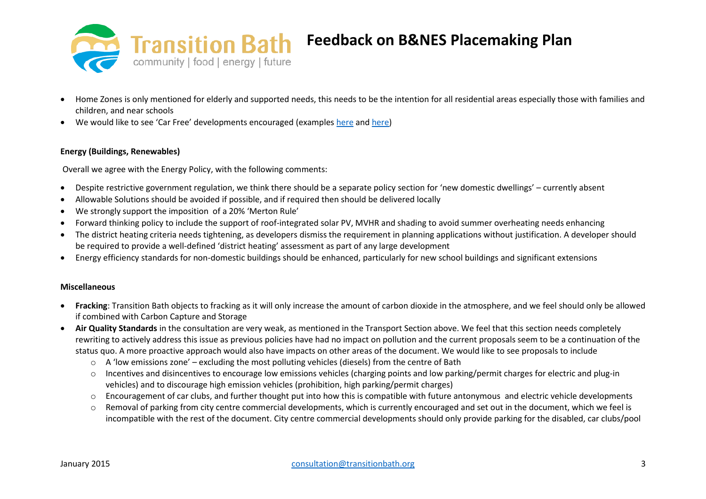

- Home Zones is only mentioned for elderly and supported needs, this needs to be the intention for all residential areas especially those with families and children, and near schools
- We would like to see 'Car Free' developments encouraged (examples [here](http://www.stevemelia.co.uk/Thesis.pdf) and [here\)](http://www.theguardian.com/environment/green-living-blog/2009/oct/29/car-free-cities-neighbourhoods)

# **Energy (Buildings, Renewables)**

Overall we agree with the Energy Policy, with the following comments:

- Despite restrictive government regulation, we think there should be a separate policy section for 'new domestic dwellings' currently absent
- Allowable Solutions should be avoided if possible, and if required then should be delivered locally
- We strongly support the imposition of a 20% 'Merton Rule'
- Forward thinking policy to include the support of roof-integrated solar PV, MVHR and shading to avoid summer overheating needs enhancing
- The district heating criteria needs tightening, as developers dismiss the requirement in planning applications without justification. A developer should be required to provide a well-defined 'district heating' assessment as part of any large development
- Energy efficiency standards for non-domestic buildings should be enhanced, particularly for new school buildings and significant extensions

# **Miscellaneous**

- **Fracking**: Transition Bath objects to fracking as it will only increase the amount of carbon dioxide in the atmosphere, and we feel should only be allowed if combined with Carbon Capture and Storage
- **Air Quality Standards** in the consultation are very weak, as mentioned in the Transport Section above. We feel that this section needs completely rewriting to actively address this issue as previous policies have had no impact on pollution and the current proposals seem to be a continuation of the status quo. A more proactive approach would also have impacts on other areas of the document. We would like to see proposals to include
	- $\circ$  A 'low emissions zone' excluding the most polluting vehicles (diesels) from the centre of Bath
	- o Incentives and disincentives to encourage low emissions vehicles (charging points and low parking/permit charges for electric and plug-in vehicles) and to discourage high emission vehicles (prohibition, high parking/permit charges)
	- $\circ$  Encouragement of car clubs, and further thought put into how this is compatible with future antonymous and electric vehicle developments
	- o Removal of parking from city centre commercial developments, which is currently encouraged and set out in the document, which we feel is incompatible with the rest of the document. City centre commercial developments should only provide parking for the disabled, car clubs/pool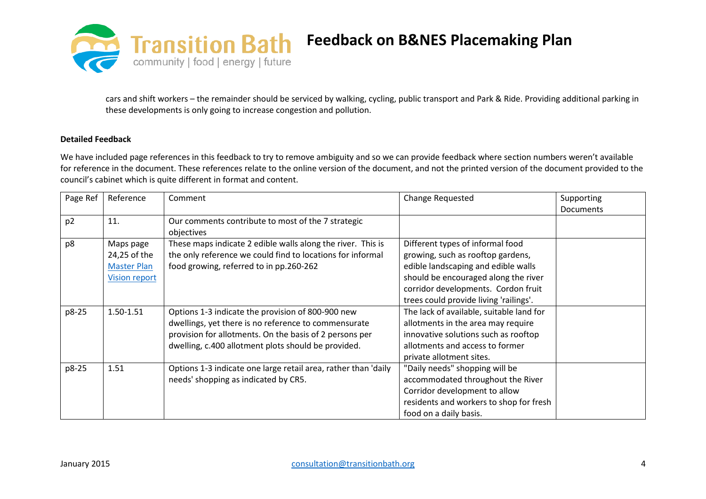

cars and shift workers – the remainder should be serviced by walking, cycling, public transport and Park & Ride. Providing additional parking in these developments is only going to increase congestion and pollution.

# **Detailed Feedback**

We have included page references in this feedback to try to remove ambiguity and so we can provide feedback where section numbers weren't available for reference in the document. These references relate to the online version of the document, and not the printed version of the document provided to the council's cabinet which is quite different in format and content.

| Page Ref       | Reference                                                               | Comment                                                                                                                                                                                                                     | Change Requested                                                                                                                                                                                                                      | Supporting<br><b>Documents</b> |
|----------------|-------------------------------------------------------------------------|-----------------------------------------------------------------------------------------------------------------------------------------------------------------------------------------------------------------------------|---------------------------------------------------------------------------------------------------------------------------------------------------------------------------------------------------------------------------------------|--------------------------------|
| p <sub>2</sub> | 11.                                                                     | Our comments contribute to most of the 7 strategic<br>objectives                                                                                                                                                            |                                                                                                                                                                                                                                       |                                |
| p8             | Maps page<br>24,25 of the<br><b>Master Plan</b><br><b>Vision report</b> | These maps indicate 2 edible walls along the river. This is<br>the only reference we could find to locations for informal<br>food growing, referred to in pp.260-262                                                        | Different types of informal food<br>growing, such as rooftop gardens,<br>edible landscaping and edible walls<br>should be encouraged along the river<br>corridor developments. Cordon fruit<br>trees could provide living 'railings'. |                                |
| p8-25          | 1.50-1.51                                                               | Options 1-3 indicate the provision of 800-900 new<br>dwellings, yet there is no reference to commensurate<br>provision for allotments. On the basis of 2 persons per<br>dwelling, c.400 allotment plots should be provided. | The lack of available, suitable land for<br>allotments in the area may require<br>innovative solutions such as rooftop<br>allotments and access to former<br>private allotment sites.                                                 |                                |
| p8-25          | 1.51                                                                    | Options 1-3 indicate one large retail area, rather than 'daily<br>needs' shopping as indicated by CR5.                                                                                                                      | "Daily needs" shopping will be<br>accommodated throughout the River<br>Corridor development to allow<br>residents and workers to shop for fresh<br>food on a daily basis.                                                             |                                |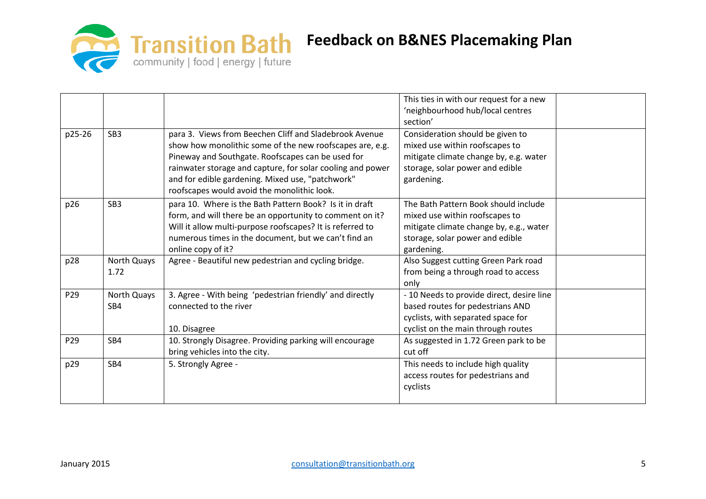

|                 |                 |                                                            | This ties in with our request for a new   |  |
|-----------------|-----------------|------------------------------------------------------------|-------------------------------------------|--|
|                 |                 |                                                            | 'neighbourhood hub/local centres          |  |
|                 |                 |                                                            | section'                                  |  |
| p25-26          | SB <sub>3</sub> | para 3. Views from Beechen Cliff and Sladebrook Avenue     | Consideration should be given to          |  |
|                 |                 | show how monolithic some of the new roofscapes are, e.g.   | mixed use within roofscapes to            |  |
|                 |                 | Pineway and Southgate. Roofscapes can be used for          | mitigate climate change by, e.g. water    |  |
|                 |                 | rainwater storage and capture, for solar cooling and power | storage, solar power and edible           |  |
|                 |                 | and for edible gardening. Mixed use, "patchwork"           | gardening.                                |  |
|                 |                 | roofscapes would avoid the monolithic look.                |                                           |  |
| p26             | SB <sub>3</sub> | para 10. Where is the Bath Pattern Book? Is it in draft    | The Bath Pattern Book should include      |  |
|                 |                 | form, and will there be an opportunity to comment on it?   | mixed use within roofscapes to            |  |
|                 |                 | Will it allow multi-purpose roofscapes? It is referred to  | mitigate climate change by, e.g., water   |  |
|                 |                 | numerous times in the document, but we can't find an       | storage, solar power and edible           |  |
|                 |                 | online copy of it?                                         | gardening.                                |  |
| p28             | North Quays     | Agree - Beautiful new pedestrian and cycling bridge.       | Also Suggest cutting Green Park road      |  |
|                 | 1.72            |                                                            | from being a through road to access       |  |
|                 |                 |                                                            | only                                      |  |
| P29             | North Quays     | 3. Agree - With being 'pedestrian friendly' and directly   | - 10 Needs to provide direct, desire line |  |
|                 | SB4             | connected to the river                                     | based routes for pedestrians AND          |  |
|                 |                 |                                                            | cyclists, with separated space for        |  |
|                 |                 | 10. Disagree                                               | cyclist on the main through routes        |  |
| P <sub>29</sub> | SB4             | 10. Strongly Disagree. Providing parking will encourage    | As suggested in 1.72 Green park to be     |  |
|                 |                 | bring vehicles into the city.                              | cut off                                   |  |
| p29             | SB4             | 5. Strongly Agree -                                        | This needs to include high quality        |  |
|                 |                 |                                                            | access routes for pedestrians and         |  |
|                 |                 |                                                            | cyclists                                  |  |
|                 |                 |                                                            |                                           |  |
|                 |                 |                                                            |                                           |  |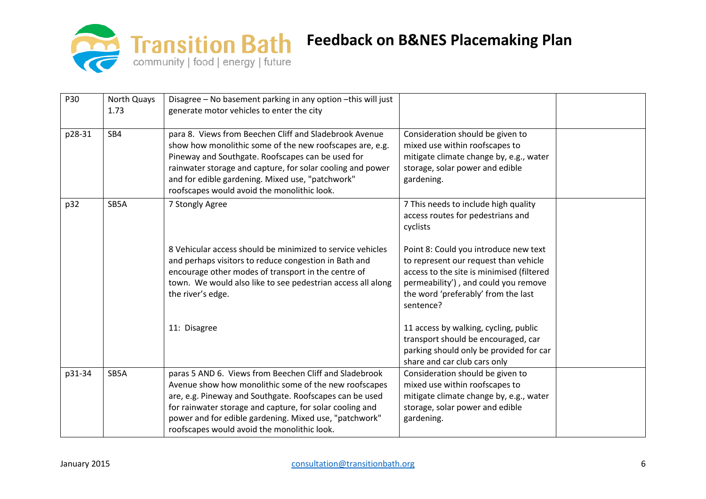

| P30    | North Quays<br>1.73 | Disagree - No basement parking in any option - this will just<br>generate motor vehicles to enter the city                                                                                                                                                                                                                                      |                                                                                                                                                                                                                         |  |
|--------|---------------------|-------------------------------------------------------------------------------------------------------------------------------------------------------------------------------------------------------------------------------------------------------------------------------------------------------------------------------------------------|-------------------------------------------------------------------------------------------------------------------------------------------------------------------------------------------------------------------------|--|
| p28-31 | SB4                 | para 8. Views from Beechen Cliff and Sladebrook Avenue<br>show how monolithic some of the new roofscapes are, e.g.<br>Pineway and Southgate. Roofscapes can be used for<br>rainwater storage and capture, for solar cooling and power<br>and for edible gardening. Mixed use, "patchwork"<br>roofscapes would avoid the monolithic look.        | Consideration should be given to<br>mixed use within roofscapes to<br>mitigate climate change by, e.g., water<br>storage, solar power and edible<br>gardening.                                                          |  |
| p32    | SB5A                | 7 Stongly Agree                                                                                                                                                                                                                                                                                                                                 | 7 This needs to include high quality<br>access routes for pedestrians and<br>cyclists                                                                                                                                   |  |
|        |                     | 8 Vehicular access should be minimized to service vehicles<br>and perhaps visitors to reduce congestion in Bath and<br>encourage other modes of transport in the centre of<br>town. We would also like to see pedestrian access all along<br>the river's edge.                                                                                  | Point 8: Could you introduce new text<br>to represent our request than vehicle<br>access to the site is minimised (filtered<br>permeability'), and could you remove<br>the word 'preferably' from the last<br>sentence? |  |
|        |                     | 11: Disagree                                                                                                                                                                                                                                                                                                                                    | 11 access by walking, cycling, public<br>transport should be encouraged, car<br>parking should only be provided for car<br>share and car club cars only                                                                 |  |
| p31-34 | SB5A                | paras 5 AND 6. Views from Beechen Cliff and Sladebrook<br>Avenue show how monolithic some of the new roofscapes<br>are, e.g. Pineway and Southgate. Roofscapes can be used<br>for rainwater storage and capture, for solar cooling and<br>power and for edible gardening. Mixed use, "patchwork"<br>roofscapes would avoid the monolithic look. | Consideration should be given to<br>mixed use within roofscapes to<br>mitigate climate change by, e.g., water<br>storage, solar power and edible<br>gardening.                                                          |  |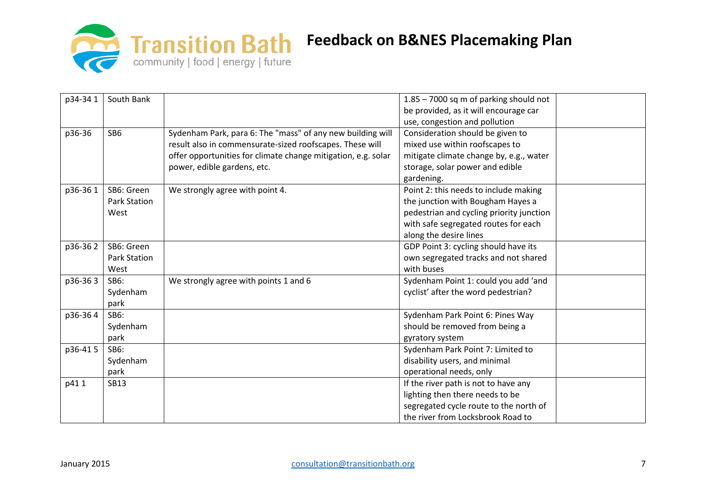

| p34-34 1 | South Bank      |                                                               | 1.85 - 7000 sq m of parking should not   |  |
|----------|-----------------|---------------------------------------------------------------|------------------------------------------|--|
|          |                 |                                                               | be provided, as it will encourage car    |  |
|          |                 |                                                               | use, congestion and pollution            |  |
| p36-36   | SB <sub>6</sub> | Sydenham Park, para 6: The "mass" of any new building will    | Consideration should be given to         |  |
|          |                 | result also in commensurate-sized roofscapes. These will      | mixed use within roofscapes to           |  |
|          |                 | offer opportunities for climate change mitigation, e.g. solar | mitigate climate change by, e.g., water  |  |
|          |                 | power, edible gardens, etc.                                   | storage, solar power and edible          |  |
|          |                 |                                                               | gardening.                               |  |
| p36-361  | SB6: Green      | We strongly agree with point 4.                               | Point 2: this needs to include making    |  |
|          | Park Station    |                                                               | the junction with Bougham Hayes a        |  |
|          | West            |                                                               | pedestrian and cycling priority junction |  |
|          |                 |                                                               | with safe segregated routes for each     |  |
|          |                 |                                                               | along the desire lines                   |  |
| p36-362  | SB6: Green      |                                                               | GDP Point 3: cycling should have its     |  |
|          | Park Station    |                                                               | own segregated tracks and not shared     |  |
|          | West            |                                                               | with buses                               |  |
| p36-363  | SB6:            | We strongly agree with points 1 and 6                         | Sydenham Point 1: could you add 'and     |  |
|          | Sydenham        |                                                               | cyclist' after the word pedestrian?      |  |
|          | park            |                                                               |                                          |  |
| p36-364  | <b>SB6:</b>     |                                                               | Sydenham Park Point 6: Pines Way         |  |
|          | Sydenham        |                                                               | should be removed from being a           |  |
|          | park            |                                                               | gyratory system                          |  |
| p36-415  | <b>SB6:</b>     |                                                               | Sydenham Park Point 7: Limited to        |  |
|          | Sydenham        |                                                               | disability users, and minimal            |  |
|          | park            |                                                               | operational needs, only                  |  |
| p411     | <b>SB13</b>     |                                                               | If the river path is not to have any     |  |
|          |                 |                                                               | lighting then there needs to be          |  |
|          |                 |                                                               | segregated cycle route to the north of   |  |
|          |                 |                                                               | the river from Locksbrook Road to        |  |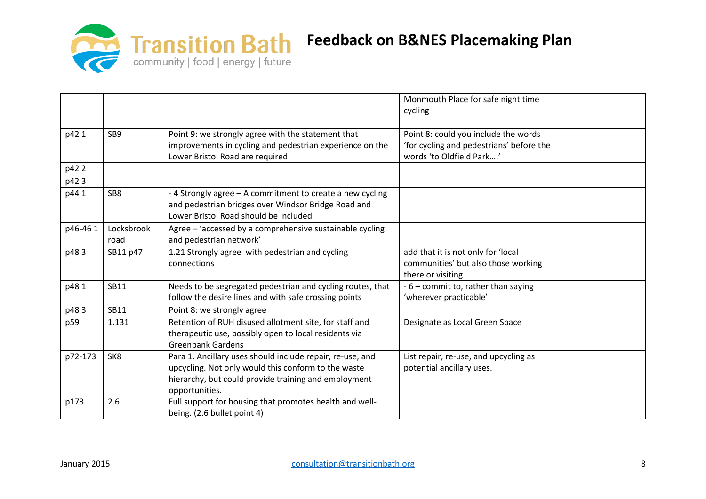

|         |                    |                                                                                                                                                                                            | Monmouth Place for safe night time<br>cycling                                                                |  |
|---------|--------------------|--------------------------------------------------------------------------------------------------------------------------------------------------------------------------------------------|--------------------------------------------------------------------------------------------------------------|--|
| p42 1   | SB9                | Point 9: we strongly agree with the statement that<br>improvements in cycling and pedestrian experience on the<br>Lower Bristol Road are required                                          | Point 8: could you include the words<br>'for cycling and pedestrians' before the<br>words 'to Oldfield Park' |  |
| p42 2   |                    |                                                                                                                                                                                            |                                                                                                              |  |
| p423    |                    |                                                                                                                                                                                            |                                                                                                              |  |
| p44 1   | SB8                | -4 Strongly agree - A commitment to create a new cycling<br>and pedestrian bridges over Windsor Bridge Road and<br>Lower Bristol Road should be included                                   |                                                                                                              |  |
| p46-461 | Locksbrook<br>road | Agree - 'accessed by a comprehensive sustainable cycling<br>and pedestrian network'                                                                                                        |                                                                                                              |  |
| p483    | SB11 p47           | 1.21 Strongly agree with pedestrian and cycling<br>connections                                                                                                                             | add that it is not only for 'local<br>communities' but also those working<br>there or visiting               |  |
| p481    | <b>SB11</b>        | Needs to be segregated pedestrian and cycling routes, that<br>follow the desire lines and with safe crossing points                                                                        | - 6 - commit to, rather than saying<br>'wherever practicable'                                                |  |
| p483    | SB11               | Point 8: we strongly agree                                                                                                                                                                 |                                                                                                              |  |
| p59     | 1.131              | Retention of RUH disused allotment site, for staff and<br>therapeutic use, possibly open to local residents via<br><b>Greenbank Gardens</b>                                                | Designate as Local Green Space                                                                               |  |
| p72-173 | SK8                | Para 1. Ancillary uses should include repair, re-use, and<br>upcycling. Not only would this conform to the waste<br>hierarchy, but could provide training and employment<br>opportunities. | List repair, re-use, and upcycling as<br>potential ancillary uses.                                           |  |
| p173    | 2.6                | Full support for housing that promotes health and well-<br>being. (2.6 bullet point 4)                                                                                                     |                                                                                                              |  |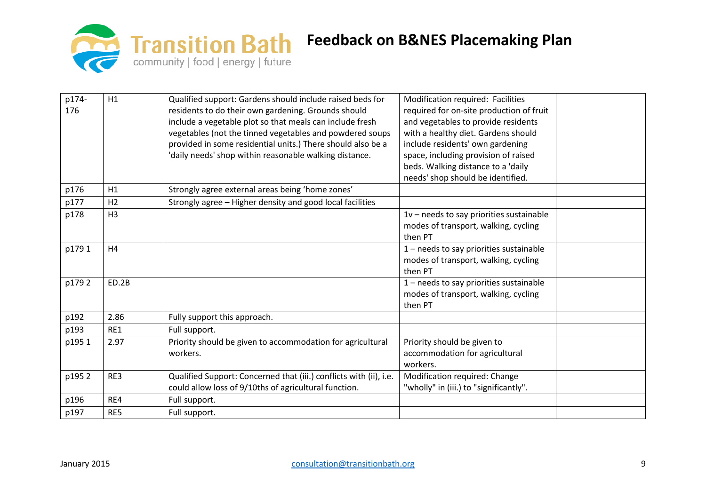

| p174- | H1             | Qualified support: Gardens should include raised beds for          | Modification required: Facilities          |  |
|-------|----------------|--------------------------------------------------------------------|--------------------------------------------|--|
| 176   |                | residents to do their own gardening. Grounds should                | required for on-site production of fruit   |  |
|       |                | include a vegetable plot so that meals can include fresh           | and vegetables to provide residents        |  |
|       |                | vegetables (not the tinned vegetables and powdered soups           | with a healthy diet. Gardens should        |  |
|       |                | provided in some residential units.) There should also be a        | include residents' own gardening           |  |
|       |                | 'daily needs' shop within reasonable walking distance.             | space, including provision of raised       |  |
|       |                |                                                                    | beds. Walking distance to a 'daily         |  |
|       |                |                                                                    | needs' shop should be identified.          |  |
| p176  | H1             | Strongly agree external areas being 'home zones'                   |                                            |  |
| p177  | H <sub>2</sub> | Strongly agree - Higher density and good local facilities          |                                            |  |
| p178  | H <sub>3</sub> |                                                                    | $1v$ – needs to say priorities sustainable |  |
|       |                |                                                                    | modes of transport, walking, cycling       |  |
|       |                |                                                                    | then PT                                    |  |
| p1791 | H4             |                                                                    | 1 - needs to say priorities sustainable    |  |
|       |                |                                                                    | modes of transport, walking, cycling       |  |
|       |                |                                                                    | then PT                                    |  |
| p1792 | ED.2B          |                                                                    | 1 - needs to say priorities sustainable    |  |
|       |                |                                                                    | modes of transport, walking, cycling       |  |
|       |                |                                                                    | then PT                                    |  |
| p192  | 2.86           | Fully support this approach.                                       |                                            |  |
| p193  | RE1            | Full support.                                                      |                                            |  |
| p1951 | 2.97           | Priority should be given to accommodation for agricultural         | Priority should be given to                |  |
|       |                | workers.                                                           | accommodation for agricultural             |  |
|       |                |                                                                    | workers.                                   |  |
| p1952 | RE3            | Qualified Support: Concerned that (iii.) conflicts with (ii), i.e. | Modification required: Change              |  |
|       |                | could allow loss of 9/10ths of agricultural function.              | "wholly" in (iii.) to "significantly".     |  |
| p196  | RE4            | Full support.                                                      |                                            |  |
| p197  | RE5            | Full support.                                                      |                                            |  |
|       |                |                                                                    |                                            |  |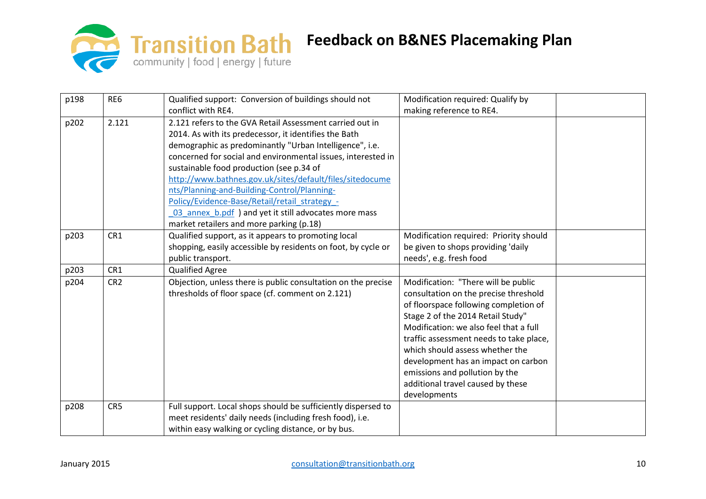

| p198 | RE6             | Qualified support: Conversion of buildings should not         | Modification required: Qualify by       |  |
|------|-----------------|---------------------------------------------------------------|-----------------------------------------|--|
|      |                 | conflict with RE4.                                            | making reference to RE4.                |  |
| p202 | 2.121           | 2.121 refers to the GVA Retail Assessment carried out in      |                                         |  |
|      |                 | 2014. As with its predecessor, it identifies the Bath         |                                         |  |
|      |                 | demographic as predominantly "Urban Intelligence", i.e.       |                                         |  |
|      |                 | concerned for social and environmental issues, interested in  |                                         |  |
|      |                 | sustainable food production (see p.34 of                      |                                         |  |
|      |                 | http://www.bathnes.gov.uk/sites/default/files/sitedocume      |                                         |  |
|      |                 | nts/Planning-and-Building-Control/Planning-                   |                                         |  |
|      |                 | Policy/Evidence-Base/Retail/retail strategy -                 |                                         |  |
|      |                 | 03 annex b.pdf ) and yet it still advocates more mass         |                                         |  |
|      |                 | market retailers and more parking (p.18)                      |                                         |  |
| p203 | CR1             | Qualified support, as it appears to promoting local           | Modification required: Priority should  |  |
|      |                 | shopping, easily accessible by residents on foot, by cycle or | be given to shops providing 'daily      |  |
|      |                 | public transport.                                             | needs', e.g. fresh food                 |  |
| p203 | CR1             | <b>Qualified Agree</b>                                        |                                         |  |
| p204 | CR <sub>2</sub> | Objection, unless there is public consultation on the precise | Modification: "There will be public     |  |
|      |                 | thresholds of floor space (cf. comment on 2.121)              | consultation on the precise threshold   |  |
|      |                 |                                                               | of floorspace following completion of   |  |
|      |                 |                                                               | Stage 2 of the 2014 Retail Study"       |  |
|      |                 |                                                               | Modification: we also feel that a full  |  |
|      |                 |                                                               | traffic assessment needs to take place, |  |
|      |                 |                                                               | which should assess whether the         |  |
|      |                 |                                                               | development has an impact on carbon     |  |
|      |                 |                                                               | emissions and pollution by the          |  |
|      |                 |                                                               | additional travel caused by these       |  |
|      |                 |                                                               | developments                            |  |
| p208 | CR5             | Full support. Local shops should be sufficiently dispersed to |                                         |  |
|      |                 | meet residents' daily needs (including fresh food), i.e.      |                                         |  |
|      |                 | within easy walking or cycling distance, or by bus.           |                                         |  |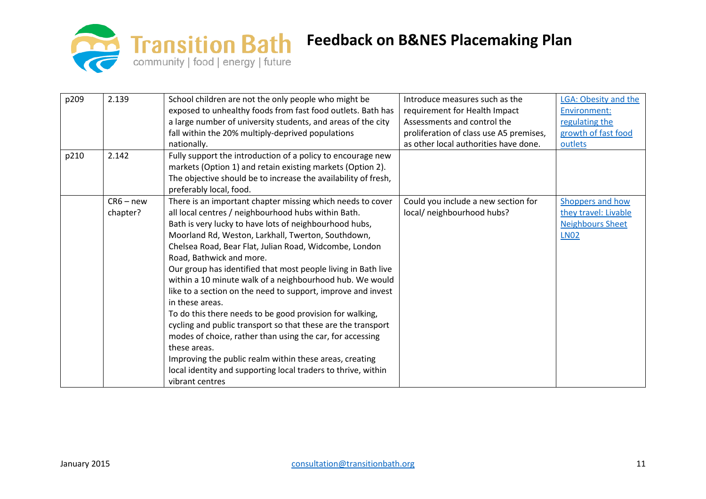

| p209 | 2.139       | School children are not the only people who might be           | Introduce measures such as the          | LGA: Obesity and the    |
|------|-------------|----------------------------------------------------------------|-----------------------------------------|-------------------------|
|      |             | exposed to unhealthy foods from fast food outlets. Bath has    | requirement for Health Impact           | Environment:            |
|      |             | a large number of university students, and areas of the city   | Assessments and control the             | regulating the          |
|      |             | fall within the 20% multiply-deprived populations              | proliferation of class use A5 premises, | growth of fast food     |
|      |             | nationally.                                                    | as other local authorities have done.   | outlets                 |
| p210 | 2.142       | Fully support the introduction of a policy to encourage new    |                                         |                         |
|      |             | markets (Option 1) and retain existing markets (Option 2).     |                                         |                         |
|      |             | The objective should be to increase the availability of fresh, |                                         |                         |
|      |             | preferably local, food.                                        |                                         |                         |
|      | $CR6 - new$ | There is an important chapter missing which needs to cover     | Could you include a new section for     | Shoppers and how        |
|      | chapter?    | all local centres / neighbourhood hubs within Bath.            | local/ neighbourhood hubs?              | they travel: Livable    |
|      |             | Bath is very lucky to have lots of neighbourhood hubs,         |                                         | <b>Neighbours Sheet</b> |
|      |             | Moorland Rd, Weston, Larkhall, Twerton, Southdown,             |                                         | <b>LN02</b>             |
|      |             | Chelsea Road, Bear Flat, Julian Road, Widcombe, London         |                                         |                         |
|      |             | Road, Bathwick and more.                                       |                                         |                         |
|      |             | Our group has identified that most people living in Bath live  |                                         |                         |
|      |             | within a 10 minute walk of a neighbourhood hub. We would       |                                         |                         |
|      |             | like to a section on the need to support, improve and invest   |                                         |                         |
|      |             | in these areas.                                                |                                         |                         |
|      |             | To do this there needs to be good provision for walking,       |                                         |                         |
|      |             | cycling and public transport so that these are the transport   |                                         |                         |
|      |             | modes of choice, rather than using the car, for accessing      |                                         |                         |
|      |             | these areas.                                                   |                                         |                         |
|      |             | Improving the public realm within these areas, creating        |                                         |                         |
|      |             | local identity and supporting local traders to thrive, within  |                                         |                         |
|      |             | vibrant centres                                                |                                         |                         |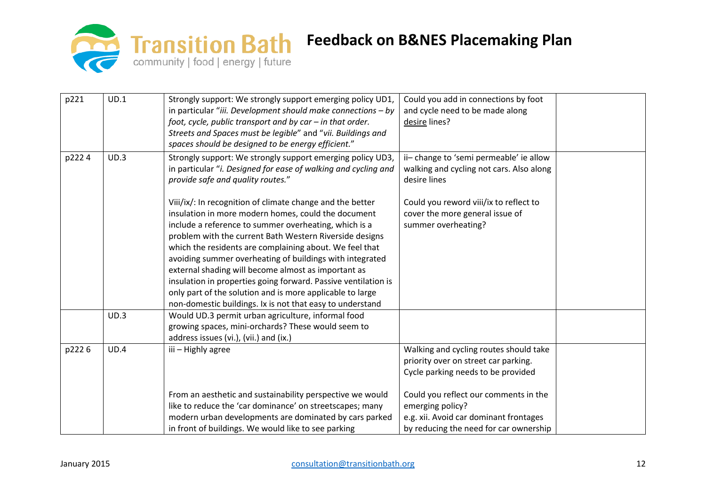

| p221  | UD.1 | Strongly support: We strongly support emerging policy UD1,<br>in particular "iii. Development should make connections $-$ by<br>foot, cycle, public transport and by $car - in$ that order.                                                                                                                                                                                                                                                                                                                                                                                                                    | Could you add in connections by foot<br>and cycle need to be made along<br>desire lines?                                                      |  |
|-------|------|----------------------------------------------------------------------------------------------------------------------------------------------------------------------------------------------------------------------------------------------------------------------------------------------------------------------------------------------------------------------------------------------------------------------------------------------------------------------------------------------------------------------------------------------------------------------------------------------------------------|-----------------------------------------------------------------------------------------------------------------------------------------------|--|
|       |      | Streets and Spaces must be legible" and "vii. Buildings and<br>spaces should be designed to be energy efficient."                                                                                                                                                                                                                                                                                                                                                                                                                                                                                              |                                                                                                                                               |  |
| p2224 | UD.3 | Strongly support: We strongly support emerging policy UD3,<br>in particular "i. Designed for ease of walking and cycling and<br>provide safe and quality routes."                                                                                                                                                                                                                                                                                                                                                                                                                                              | ii-change to 'semi permeable' ie allow<br>walking and cycling not cars. Also along<br>desire lines                                            |  |
|       |      | Viii/ix/: In recognition of climate change and the better<br>insulation in more modern homes, could the document<br>include a reference to summer overheating, which is a<br>problem with the current Bath Western Riverside designs<br>which the residents are complaining about. We feel that<br>avoiding summer overheating of buildings with integrated<br>external shading will become almost as important as<br>insulation in properties going forward. Passive ventilation is<br>only part of the solution and is more applicable to large<br>non-domestic buildings. Ix is not that easy to understand | Could you reword viii/ix to reflect to<br>cover the more general issue of<br>summer overheating?                                              |  |
|       | UD.3 | Would UD.3 permit urban agriculture, informal food<br>growing spaces, mini-orchards? These would seem to<br>address issues (vi.), (vii.) and (ix.)                                                                                                                                                                                                                                                                                                                                                                                                                                                             |                                                                                                                                               |  |
| p2226 | UD.4 | iii - Highly agree                                                                                                                                                                                                                                                                                                                                                                                                                                                                                                                                                                                             | Walking and cycling routes should take<br>priority over on street car parking.<br>Cycle parking needs to be provided                          |  |
|       |      | From an aesthetic and sustainability perspective we would<br>like to reduce the 'car dominance' on streetscapes; many<br>modern urban developments are dominated by cars parked<br>in front of buildings. We would like to see parking                                                                                                                                                                                                                                                                                                                                                                         | Could you reflect our comments in the<br>emerging policy?<br>e.g. xii. Avoid car dominant frontages<br>by reducing the need for car ownership |  |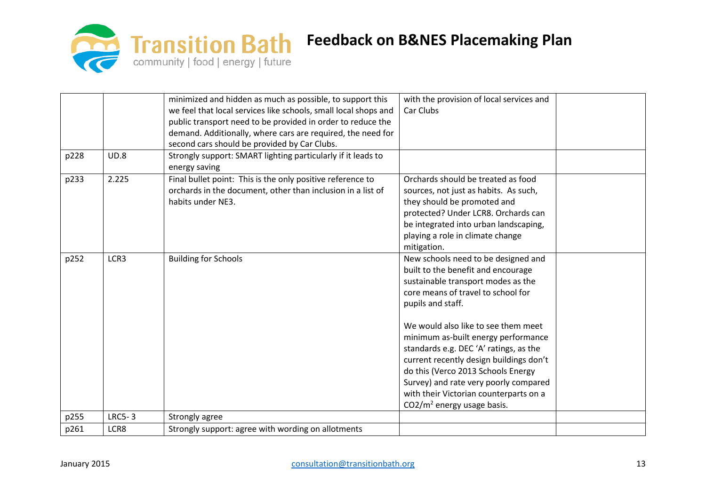

|      |               | minimized and hidden as much as possible, to support this       | with the provision of local services and |  |
|------|---------------|-----------------------------------------------------------------|------------------------------------------|--|
|      |               | we feel that local services like schools, small local shops and | Car Clubs                                |  |
|      |               | public transport need to be provided in order to reduce the     |                                          |  |
|      |               | demand. Additionally, where cars are required, the need for     |                                          |  |
|      |               | second cars should be provided by Car Clubs.                    |                                          |  |
| p228 | UD.8          | Strongly support: SMART lighting particularly if it leads to    |                                          |  |
|      |               | energy saving                                                   |                                          |  |
| p233 | 2.225         | Final bullet point: This is the only positive reference to      | Orchards should be treated as food       |  |
|      |               | orchards in the document, other than inclusion in a list of     | sources, not just as habits. As such,    |  |
|      |               | habits under NE3.                                               | they should be promoted and              |  |
|      |               |                                                                 | protected? Under LCR8. Orchards can      |  |
|      |               |                                                                 | be integrated into urban landscaping,    |  |
|      |               |                                                                 | playing a role in climate change         |  |
|      |               |                                                                 | mitigation.                              |  |
| p252 | LCR3          | <b>Building for Schools</b>                                     | New schools need to be designed and      |  |
|      |               |                                                                 | built to the benefit and encourage       |  |
|      |               |                                                                 | sustainable transport modes as the       |  |
|      |               |                                                                 | core means of travel to school for       |  |
|      |               |                                                                 | pupils and staff.                        |  |
|      |               |                                                                 | We would also like to see them meet      |  |
|      |               |                                                                 | minimum as-built energy performance      |  |
|      |               |                                                                 | standards e.g. DEC 'A' ratings, as the   |  |
|      |               |                                                                 | current recently design buildings don't  |  |
|      |               |                                                                 | do this (Verco 2013 Schools Energy       |  |
|      |               |                                                                 | Survey) and rate very poorly compared    |  |
|      |               |                                                                 | with their Victorian counterparts on a   |  |
|      |               |                                                                 | $CO2/m2$ energy usage basis.             |  |
| p255 | <b>LRC5-3</b> | Strongly agree                                                  |                                          |  |
| p261 | LCR8          | Strongly support: agree with wording on allotments              |                                          |  |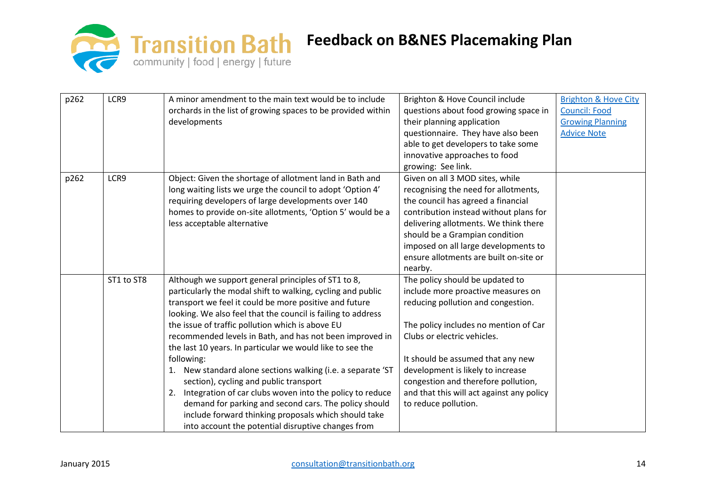

| p262 | LCR9       | A minor amendment to the main text would be to include         | Brighton & Hove Council include           | <b>Brighton &amp; Hove City</b> |
|------|------------|----------------------------------------------------------------|-------------------------------------------|---------------------------------|
|      |            | orchards in the list of growing spaces to be provided within   | questions about food growing space in     | <b>Council: Food</b>            |
|      |            | developments                                                   | their planning application                | <b>Growing Planning</b>         |
|      |            |                                                                | questionnaire. They have also been        | <b>Advice Note</b>              |
|      |            |                                                                | able to get developers to take some       |                                 |
|      |            |                                                                | innovative approaches to food             |                                 |
|      |            |                                                                | growing: See link.                        |                                 |
| p262 | LCR9       | Object: Given the shortage of allotment land in Bath and       | Given on all 3 MOD sites, while           |                                 |
|      |            | long waiting lists we urge the council to adopt 'Option 4'     | recognising the need for allotments,      |                                 |
|      |            | requiring developers of large developments over 140            | the council has agreed a financial        |                                 |
|      |            | homes to provide on-site allotments, 'Option 5' would be a     | contribution instead without plans for    |                                 |
|      |            | less acceptable alternative                                    | delivering allotments. We think there     |                                 |
|      |            |                                                                | should be a Grampian condition            |                                 |
|      |            |                                                                | imposed on all large developments to      |                                 |
|      |            |                                                                | ensure allotments are built on-site or    |                                 |
|      |            |                                                                | nearby.                                   |                                 |
|      | ST1 to ST8 | Although we support general principles of ST1 to 8,            | The policy should be updated to           |                                 |
|      |            | particularly the modal shift to walking, cycling and public    | include more proactive measures on        |                                 |
|      |            | transport we feel it could be more positive and future         | reducing pollution and congestion.        |                                 |
|      |            | looking. We also feel that the council is failing to address   |                                           |                                 |
|      |            | the issue of traffic pollution which is above EU               | The policy includes no mention of Car     |                                 |
|      |            | recommended levels in Bath, and has not been improved in       | Clubs or electric vehicles.               |                                 |
|      |            | the last 10 years. In particular we would like to see the      |                                           |                                 |
|      |            | following:                                                     | It should be assumed that any new         |                                 |
|      |            | New standard alone sections walking (i.e. a separate 'ST<br>1. | development is likely to increase         |                                 |
|      |            | section), cycling and public transport                         | congestion and therefore pollution,       |                                 |
|      |            | Integration of car clubs woven into the policy to reduce<br>2. | and that this will act against any policy |                                 |
|      |            | demand for parking and second cars. The policy should          | to reduce pollution.                      |                                 |
|      |            | include forward thinking proposals which should take           |                                           |                                 |
|      |            | into account the potential disruptive changes from             |                                           |                                 |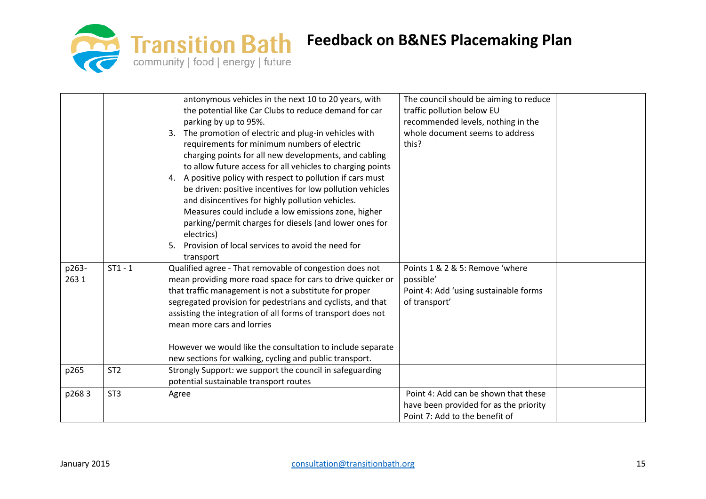

|                |                 | antonymous vehicles in the next 10 to 20 years, with<br>the potential like Car Clubs to reduce demand for car<br>parking by up to 95%.<br>3. The promotion of electric and plug-in vehicles with<br>requirements for minimum numbers of electric<br>charging points for all new developments, and cabling<br>to allow future access for all vehicles to charging points<br>4. A positive policy with respect to pollution if cars must<br>be driven: positive incentives for low pollution vehicles<br>and disincentives for highly pollution vehicles.<br>Measures could include a low emissions zone, higher<br>parking/permit charges for diesels (and lower ones for<br>electrics)<br>Provision of local services to avoid the need for<br>5.<br>transport | The council should be aiming to reduce<br>traffic pollution below EU<br>recommended levels, nothing in the<br>whole document seems to address<br>this? |  |
|----------------|-----------------|----------------------------------------------------------------------------------------------------------------------------------------------------------------------------------------------------------------------------------------------------------------------------------------------------------------------------------------------------------------------------------------------------------------------------------------------------------------------------------------------------------------------------------------------------------------------------------------------------------------------------------------------------------------------------------------------------------------------------------------------------------------|--------------------------------------------------------------------------------------------------------------------------------------------------------|--|
| p263-<br>263 1 | $ST1 - 1$       | Qualified agree - That removable of congestion does not<br>mean providing more road space for cars to drive quicker or<br>that traffic management is not a substitute for proper<br>segregated provision for pedestrians and cyclists, and that<br>assisting the integration of all forms of transport does not<br>mean more cars and lorries<br>However we would like the consultation to include separate<br>new sections for walking, cycling and public transport.                                                                                                                                                                                                                                                                                         | Points 1 & 2 & 5: Remove 'where<br>possible'<br>Point 4: Add 'using sustainable forms<br>of transport'                                                 |  |
| p265           | ST <sub>2</sub> | Strongly Support: we support the council in safeguarding<br>potential sustainable transport routes                                                                                                                                                                                                                                                                                                                                                                                                                                                                                                                                                                                                                                                             |                                                                                                                                                        |  |
| p2683          | ST <sub>3</sub> | Agree                                                                                                                                                                                                                                                                                                                                                                                                                                                                                                                                                                                                                                                                                                                                                          | Point 4: Add can be shown that these<br>have been provided for as the priority<br>Point 7: Add to the benefit of                                       |  |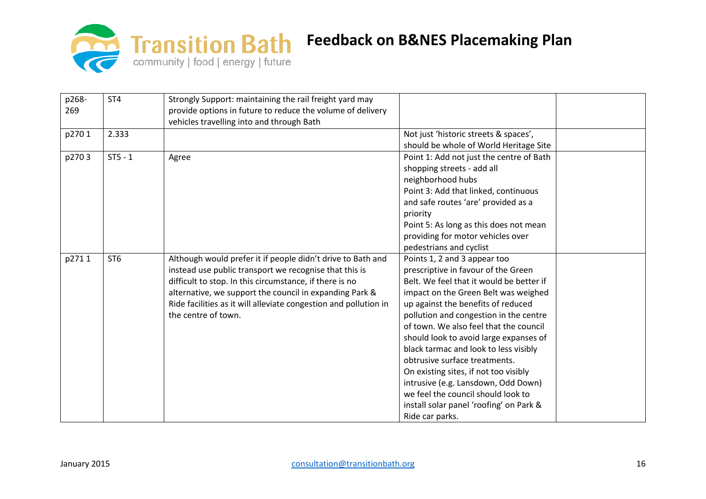

| p268-<br>269 | ST <sub>4</sub> | Strongly Support: maintaining the rail freight yard may<br>provide options in future to reduce the volume of delivery<br>vehicles travelling into and through Bath                                                                                                                                                                     |                                                                                                                                                                                                                                                                                                                                                                                                                                                                                                                                                                                           |  |
|--------------|-----------------|----------------------------------------------------------------------------------------------------------------------------------------------------------------------------------------------------------------------------------------------------------------------------------------------------------------------------------------|-------------------------------------------------------------------------------------------------------------------------------------------------------------------------------------------------------------------------------------------------------------------------------------------------------------------------------------------------------------------------------------------------------------------------------------------------------------------------------------------------------------------------------------------------------------------------------------------|--|
| p2701        | 2.333           |                                                                                                                                                                                                                                                                                                                                        | Not just 'historic streets & spaces',<br>should be whole of World Heritage Site                                                                                                                                                                                                                                                                                                                                                                                                                                                                                                           |  |
| p2703        | $ST5 - 1$       | Agree                                                                                                                                                                                                                                                                                                                                  | Point 1: Add not just the centre of Bath<br>shopping streets - add all<br>neighborhood hubs<br>Point 3: Add that linked, continuous<br>and safe routes 'are' provided as a<br>priority<br>Point 5: As long as this does not mean<br>providing for motor vehicles over<br>pedestrians and cyclist                                                                                                                                                                                                                                                                                          |  |
| p2711        | ST <sub>6</sub> | Although would prefer it if people didn't drive to Bath and<br>instead use public transport we recognise that this is<br>difficult to stop. In this circumstance, if there is no<br>alternative, we support the council in expanding Park &<br>Ride facilities as it will alleviate congestion and pollution in<br>the centre of town. | Points 1, 2 and 3 appear too<br>prescriptive in favour of the Green<br>Belt. We feel that it would be better if<br>impact on the Green Belt was weighed<br>up against the benefits of reduced<br>pollution and congestion in the centre<br>of town. We also feel that the council<br>should look to avoid large expanses of<br>black tarmac and look to less visibly<br>obtrusive surface treatments.<br>On existing sites, if not too visibly<br>intrusive (e.g. Lansdown, Odd Down)<br>we feel the council should look to<br>install solar panel 'roofing' on Park &<br>Ride car parks. |  |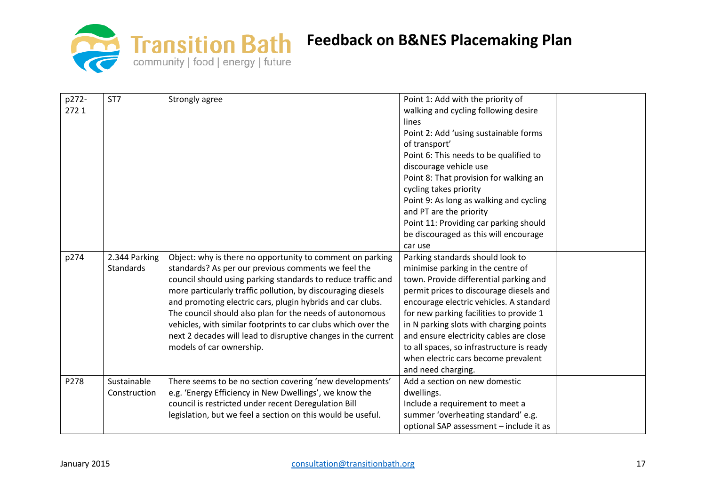

| p272-<br>2721 | ST7                         | Strongly agree                                                                                                                                                                                                                                                                                                                                                                                                                                                                                                                           | Point 1: Add with the priority of<br>walking and cycling following desire<br>lines<br>Point 2: Add 'using sustainable forms<br>of transport'<br>Point 6: This needs to be qualified to<br>discourage vehicle use<br>Point 8: That provision for walking an<br>cycling takes priority<br>Point 9: As long as walking and cycling<br>and PT are the priority<br>Point 11: Providing car parking should<br>be discouraged as this will encourage<br>car use |  |
|---------------|-----------------------------|------------------------------------------------------------------------------------------------------------------------------------------------------------------------------------------------------------------------------------------------------------------------------------------------------------------------------------------------------------------------------------------------------------------------------------------------------------------------------------------------------------------------------------------|----------------------------------------------------------------------------------------------------------------------------------------------------------------------------------------------------------------------------------------------------------------------------------------------------------------------------------------------------------------------------------------------------------------------------------------------------------|--|
| p274          | 2.344 Parking<br>Standards  | Object: why is there no opportunity to comment on parking<br>standards? As per our previous comments we feel the<br>council should using parking standards to reduce traffic and<br>more particularly traffic pollution, by discouraging diesels<br>and promoting electric cars, plugin hybrids and car clubs.<br>The council should also plan for the needs of autonomous<br>vehicles, with similar footprints to car clubs which over the<br>next 2 decades will lead to disruptive changes in the current<br>models of car ownership. | Parking standards should look to<br>minimise parking in the centre of<br>town. Provide differential parking and<br>permit prices to discourage diesels and<br>encourage electric vehicles. A standard<br>for new parking facilities to provide 1<br>in N parking slots with charging points<br>and ensure electricity cables are close<br>to all spaces, so infrastructure is ready<br>when electric cars become prevalent<br>and need charging.         |  |
| P278          | Sustainable<br>Construction | There seems to be no section covering 'new developments'<br>e.g. 'Energy Efficiency in New Dwellings', we know the<br>council is restricted under recent Deregulation Bill<br>legislation, but we feel a section on this would be useful.                                                                                                                                                                                                                                                                                                | Add a section on new domestic<br>dwellings.<br>Include a requirement to meet a<br>summer 'overheating standard' e.g.<br>optional SAP assessment - include it as                                                                                                                                                                                                                                                                                          |  |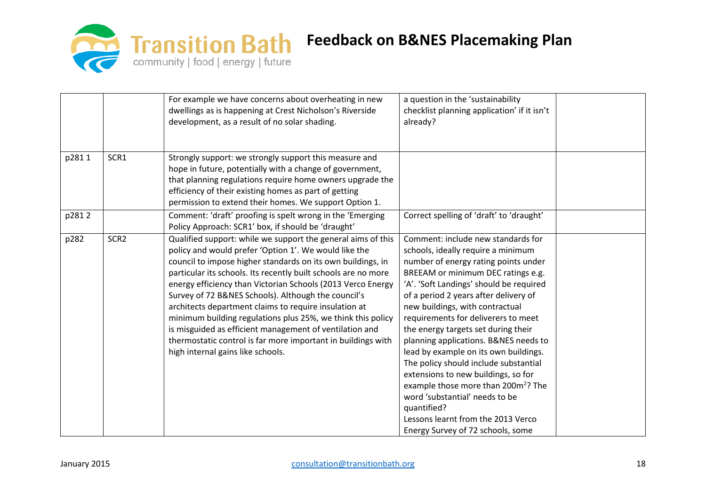

|       |                  | For example we have concerns about overheating in new<br>dwellings as is happening at Crest Nicholson's Riverside<br>development, as a result of no solar shading.                                                                                                                                                                                                                                                                                                                                                                                                                                                                                                   | a question in the 'sustainability<br>checklist planning application' if it isn't<br>already?                                                                                                                                                                                                                                                                                                                                                                                                                                                                                                                                                                                                                 |  |
|-------|------------------|----------------------------------------------------------------------------------------------------------------------------------------------------------------------------------------------------------------------------------------------------------------------------------------------------------------------------------------------------------------------------------------------------------------------------------------------------------------------------------------------------------------------------------------------------------------------------------------------------------------------------------------------------------------------|--------------------------------------------------------------------------------------------------------------------------------------------------------------------------------------------------------------------------------------------------------------------------------------------------------------------------------------------------------------------------------------------------------------------------------------------------------------------------------------------------------------------------------------------------------------------------------------------------------------------------------------------------------------------------------------------------------------|--|
| p2811 | SCR1             | Strongly support: we strongly support this measure and<br>hope in future, potentially with a change of government,<br>that planning regulations require home owners upgrade the<br>efficiency of their existing homes as part of getting<br>permission to extend their homes. We support Option 1.                                                                                                                                                                                                                                                                                                                                                                   |                                                                                                                                                                                                                                                                                                                                                                                                                                                                                                                                                                                                                                                                                                              |  |
| p2812 |                  | Comment: 'draft' proofing is spelt wrong in the 'Emerging<br>Policy Approach: SCR1' box, if should be 'draught'                                                                                                                                                                                                                                                                                                                                                                                                                                                                                                                                                      | Correct spelling of 'draft' to 'draught'                                                                                                                                                                                                                                                                                                                                                                                                                                                                                                                                                                                                                                                                     |  |
| p282  | SCR <sub>2</sub> | Qualified support: while we support the general aims of this<br>policy and would prefer 'Option 1'. We would like the<br>council to impose higher standards on its own buildings, in<br>particular its schools. Its recently built schools are no more<br>energy efficiency than Victorian Schools (2013 Verco Energy<br>Survey of 72 B&NES Schools). Although the council's<br>architects department claims to require insulation at<br>minimum building regulations plus 25%, we think this policy<br>is misguided as efficient management of ventilation and<br>thermostatic control is far more important in buildings with<br>high internal gains like schools. | Comment: include new standards for<br>schools, ideally require a minimum<br>number of energy rating points under<br>BREEAM or minimum DEC ratings e.g.<br>'A'. 'Soft Landings' should be required<br>of a period 2 years after delivery of<br>new buildings, with contractual<br>requirements for deliverers to meet<br>the energy targets set during their<br>planning applications. B&NES needs to<br>lead by example on its own buildings.<br>The policy should include substantial<br>extensions to new buildings, so for<br>example those more than 200m <sup>2</sup> ? The<br>word 'substantial' needs to be<br>quantified?<br>Lessons learnt from the 2013 Verco<br>Energy Survey of 72 schools, some |  |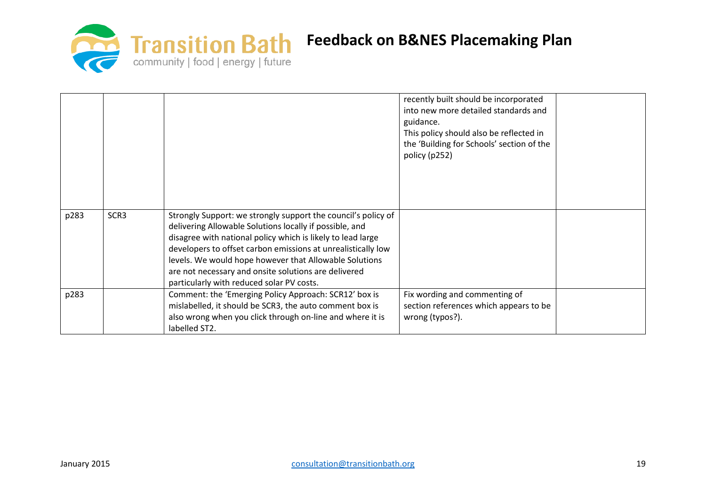

|      |      |                                                                                                   | recently built should be incorporated<br>into new more detailed standards and<br>guidance.<br>This policy should also be reflected in<br>the 'Building for Schools' section of the<br>policy (p252) |  |
|------|------|---------------------------------------------------------------------------------------------------|-----------------------------------------------------------------------------------------------------------------------------------------------------------------------------------------------------|--|
| p283 | SCR3 | Strongly Support: we strongly support the council's policy of                                     |                                                                                                                                                                                                     |  |
|      |      | delivering Allowable Solutions locally if possible, and                                           |                                                                                                                                                                                                     |  |
|      |      | disagree with national policy which is likely to lead large                                       |                                                                                                                                                                                                     |  |
|      |      | developers to offset carbon emissions at unrealistically low                                      |                                                                                                                                                                                                     |  |
|      |      | levels. We would hope however that Allowable Solutions                                            |                                                                                                                                                                                                     |  |
|      |      | are not necessary and onsite solutions are delivered<br>particularly with reduced solar PV costs. |                                                                                                                                                                                                     |  |
| p283 |      | Comment: the 'Emerging Policy Approach: SCR12' box is                                             | Fix wording and commenting of                                                                                                                                                                       |  |
|      |      | mislabelled, it should be SCR3, the auto comment box is                                           | section references which appears to be                                                                                                                                                              |  |
|      |      | also wrong when you click through on-line and where it is                                         | wrong (typos?).                                                                                                                                                                                     |  |
|      |      | labelled ST2.                                                                                     |                                                                                                                                                                                                     |  |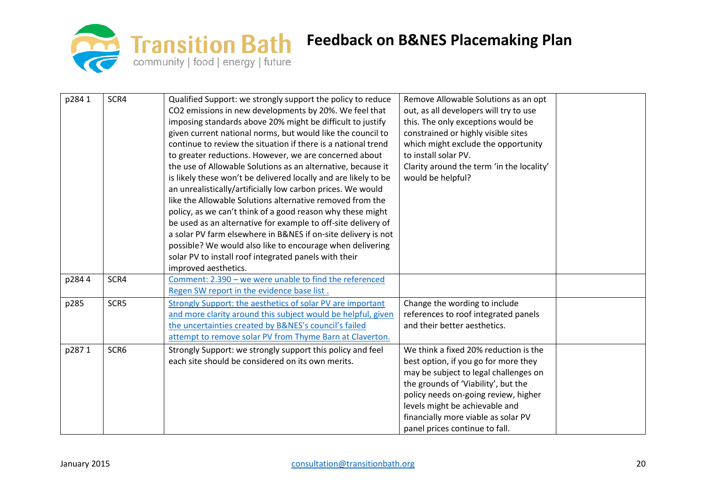

| p2841 | SCR4 | Qualified Support: we strongly support the policy to reduce     | Remove Allowable Solutions as an opt      |  |
|-------|------|-----------------------------------------------------------------|-------------------------------------------|--|
|       |      | CO2 emissions in new developments by 20%. We feel that          | out, as all developers will try to use    |  |
|       |      | imposing standards above 20% might be difficult to justify      | this. The only exceptions would be        |  |
|       |      | given current national norms, but would like the council to     | constrained or highly visible sites       |  |
|       |      | continue to review the situation if there is a national trend   | which might exclude the opportunity       |  |
|       |      | to greater reductions. However, we are concerned about          | to install solar PV.                      |  |
|       |      | the use of Allowable Solutions as an alternative, because it    | Clarity around the term 'in the locality' |  |
|       |      | is likely these won't be delivered locally and are likely to be | would be helpful?                         |  |
|       |      | an unrealistically/artificially low carbon prices. We would     |                                           |  |
|       |      | like the Allowable Solutions alternative removed from the       |                                           |  |
|       |      | policy, as we can't think of a good reason why these might      |                                           |  |
|       |      | be used as an alternative for example to off-site delivery of   |                                           |  |
|       |      | a solar PV farm elsewhere in B&NES if on-site delivery is not   |                                           |  |
|       |      | possible? We would also like to encourage when delivering       |                                           |  |
|       |      | solar PV to install roof integrated panels with their           |                                           |  |
|       |      | improved aesthetics.                                            |                                           |  |
| p2844 | SCR4 | Comment: 2.390 - we were unable to find the referenced          |                                           |  |
|       |      | Regen SW report in the evidence base list.                      |                                           |  |
| p285  | SCR5 | Strongly Support: the aesthetics of solar PV are important      | Change the wording to include             |  |
|       |      | and more clarity around this subject would be helpful, given    | references to roof integrated panels      |  |
|       |      | the uncertainties created by B&NES's council's failed           | and their better aesthetics.              |  |
|       |      | attempt to remove solar PV from Thyme Barn at Claverton.        |                                           |  |
| p2871 | SCR6 | Strongly Support: we strongly support this policy and feel      | We think a fixed 20% reduction is the     |  |
|       |      | each site should be considered on its own merits.               | best option, if you go for more they      |  |
|       |      |                                                                 | may be subject to legal challenges on     |  |
|       |      |                                                                 | the grounds of 'Viability', but the       |  |
|       |      |                                                                 | policy needs on-going review, higher      |  |
|       |      |                                                                 | levels might be achievable and            |  |
|       |      |                                                                 | financially more viable as solar PV       |  |
|       |      |                                                                 | panel prices continue to fall.            |  |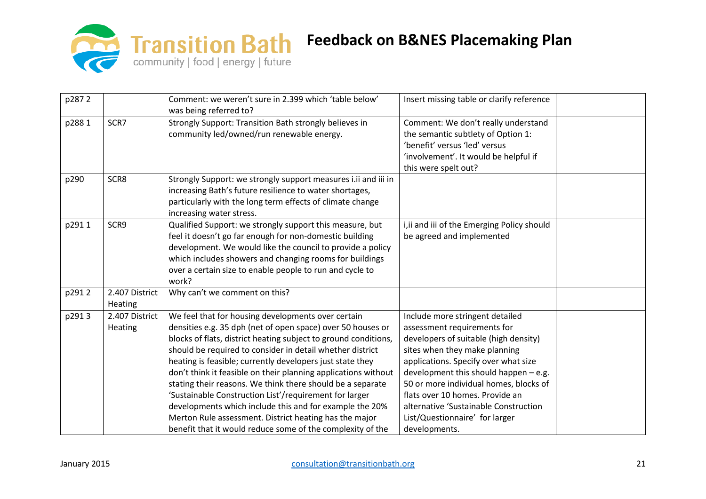

| p2872 |                           | Comment: we weren't sure in 2.399 which 'table below'<br>was being referred to?                                                                                                                                                                                                                                                                                                                                                                                                                                                                                                                                                                                                             | Insert missing table or clarify reference                                                                                                                                                                                                                                                                                                                                                            |  |
|-------|---------------------------|---------------------------------------------------------------------------------------------------------------------------------------------------------------------------------------------------------------------------------------------------------------------------------------------------------------------------------------------------------------------------------------------------------------------------------------------------------------------------------------------------------------------------------------------------------------------------------------------------------------------------------------------------------------------------------------------|------------------------------------------------------------------------------------------------------------------------------------------------------------------------------------------------------------------------------------------------------------------------------------------------------------------------------------------------------------------------------------------------------|--|
| p2881 | SCR7                      | Strongly Support: Transition Bath strongly believes in<br>community led/owned/run renewable energy.                                                                                                                                                                                                                                                                                                                                                                                                                                                                                                                                                                                         | Comment: We don't really understand<br>the semantic subtlety of Option 1:<br>'benefit' versus 'led' versus<br>'involvement'. It would be helpful if<br>this were spelt out?                                                                                                                                                                                                                          |  |
| p290  | SCR8                      | Strongly Support: we strongly support measures i.ii and iii in<br>increasing Bath's future resilience to water shortages,<br>particularly with the long term effects of climate change<br>increasing water stress.                                                                                                                                                                                                                                                                                                                                                                                                                                                                          |                                                                                                                                                                                                                                                                                                                                                                                                      |  |
| p2911 | SCR9                      | Qualified Support: we strongly support this measure, but<br>feel it doesn't go far enough for non-domestic building<br>development. We would like the council to provide a policy<br>which includes showers and changing rooms for buildings<br>over a certain size to enable people to run and cycle to<br>work?                                                                                                                                                                                                                                                                                                                                                                           | i, ii and iii of the Emerging Policy should<br>be agreed and implemented                                                                                                                                                                                                                                                                                                                             |  |
| p2912 | 2.407 District<br>Heating | Why can't we comment on this?                                                                                                                                                                                                                                                                                                                                                                                                                                                                                                                                                                                                                                                               |                                                                                                                                                                                                                                                                                                                                                                                                      |  |
| p2913 | 2.407 District<br>Heating | We feel that for housing developments over certain<br>densities e.g. 35 dph (net of open space) over 50 houses or<br>blocks of flats, district heating subject to ground conditions,<br>should be required to consider in detail whether district<br>heating is feasible; currently developers just state they<br>don't think it feasible on their planning applications without<br>stating their reasons. We think there should be a separate<br>'Sustainable Construction List'/requirement for larger<br>developments which include this and for example the 20%<br>Merton Rule assessment. District heating has the major<br>benefit that it would reduce some of the complexity of the | Include more stringent detailed<br>assessment requirements for<br>developers of suitable (high density)<br>sites when they make planning<br>applications. Specify over what size<br>development this should happen $-$ e.g.<br>50 or more individual homes, blocks of<br>flats over 10 homes. Provide an<br>alternative 'Sustainable Construction<br>List/Questionnaire' for larger<br>developments. |  |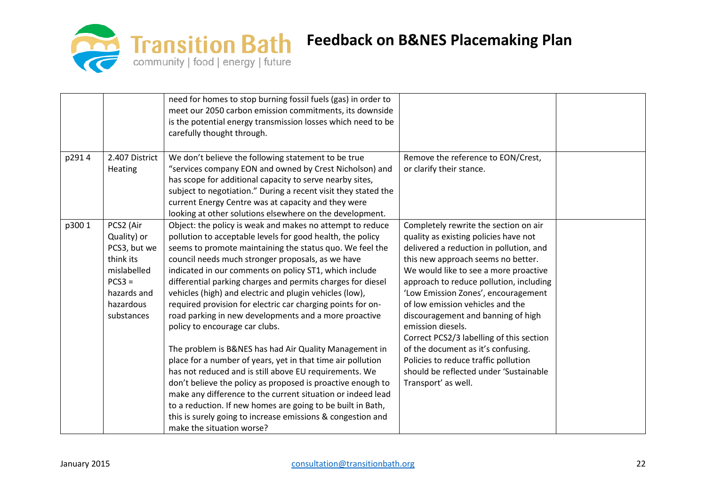

|       |                                                                                                                            | need for homes to stop burning fossil fuels (gas) in order to<br>meet our 2050 carbon emission commitments, its downside<br>is the potential energy transmission losses which need to be<br>carefully thought through.                                                                                                                                                                                                                                                                                                                                                                 |                                                                                                                                                                                                                                                                                                                                                                                                                                       |  |
|-------|----------------------------------------------------------------------------------------------------------------------------|----------------------------------------------------------------------------------------------------------------------------------------------------------------------------------------------------------------------------------------------------------------------------------------------------------------------------------------------------------------------------------------------------------------------------------------------------------------------------------------------------------------------------------------------------------------------------------------|---------------------------------------------------------------------------------------------------------------------------------------------------------------------------------------------------------------------------------------------------------------------------------------------------------------------------------------------------------------------------------------------------------------------------------------|--|
| p2914 | 2.407 District<br>Heating                                                                                                  | We don't believe the following statement to be true<br>"services company EON and owned by Crest Nicholson) and<br>has scope for additional capacity to serve nearby sites,<br>subject to negotiation." During a recent visit they stated the<br>current Energy Centre was at capacity and they were<br>looking at other solutions elsewhere on the development.                                                                                                                                                                                                                        | Remove the reference to EON/Crest,<br>or clarify their stance.                                                                                                                                                                                                                                                                                                                                                                        |  |
| p3001 | PCS2 (Air<br>Quality) or<br>PCS3, but we<br>think its<br>mislabelled<br>$PCS3 =$<br>hazards and<br>hazardous<br>substances | Object: the policy is weak and makes no attempt to reduce<br>pollution to acceptable levels for good health, the policy<br>seems to promote maintaining the status quo. We feel the<br>council needs much stronger proposals, as we have<br>indicated in our comments on policy ST1, which include<br>differential parking charges and permits charges for diesel<br>vehicles (high) and electric and plugin vehicles (low),<br>required provision for electric car charging points for on-<br>road parking in new developments and a more proactive<br>policy to encourage car clubs. | Completely rewrite the section on air<br>quality as existing policies have not<br>delivered a reduction in pollution, and<br>this new approach seems no better.<br>We would like to see a more proactive<br>approach to reduce pollution, including<br>'Low Emission Zones', encouragement<br>of low emission vehicles and the<br>discouragement and banning of high<br>emission diesels.<br>Correct PCS2/3 labelling of this section |  |
|       |                                                                                                                            | The problem is B&NES has had Air Quality Management in<br>place for a number of years, yet in that time air pollution<br>has not reduced and is still above EU requirements. We<br>don't believe the policy as proposed is proactive enough to<br>make any difference to the current situation or indeed lead<br>to a reduction. If new homes are going to be built in Bath,<br>this is surely going to increase emissions & congestion and<br>make the situation worse?                                                                                                               | of the document as it's confusing.<br>Policies to reduce traffic pollution<br>should be reflected under 'Sustainable<br>Transport' as well.                                                                                                                                                                                                                                                                                           |  |